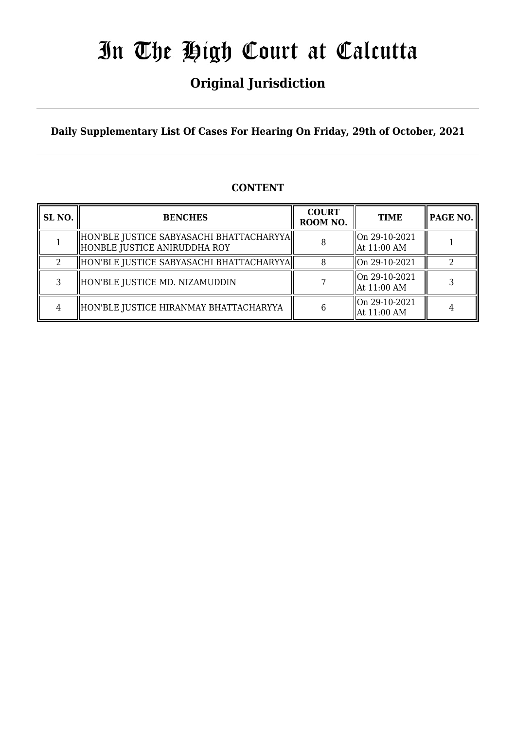## **Original Jurisdiction**

**Daily Supplementary List Of Cases For Hearing On Friday, 29th of October, 2021**

### **CONTENT**

| SL <sub>NO.</sub> | <b>BENCHES</b>                                                             | <b>COURT</b><br>ROOM NO. | <b>TIME</b>                                |  |
|-------------------|----------------------------------------------------------------------------|--------------------------|--------------------------------------------|--|
|                   | HON'BLE JUSTICE SABYASACHI BHATTACHARYYA  <br>HONBLE JUSTICE ANIRUDDHA ROY |                          | $\lfloor$ On 29-10-2021<br>At 11:00 AM     |  |
|                   | HON'BLE JUSTICE SABYASACHI BHATTACHARYYA                                   |                          | $\left  \right $ On 29-10-2021             |  |
| 3                 | HON'BLE JUSTICE MD. NIZAMUDDIN                                             |                          | $\lfloor$ On 29-10-2021<br>At 11:00 AM     |  |
| 4                 | HON'BLE JUSTICE HIRANMAY BHATTACHARYYA                                     | 6                        | $\sqrt{\ln 29 - 10 - 2021}$<br>At 11:00 AM |  |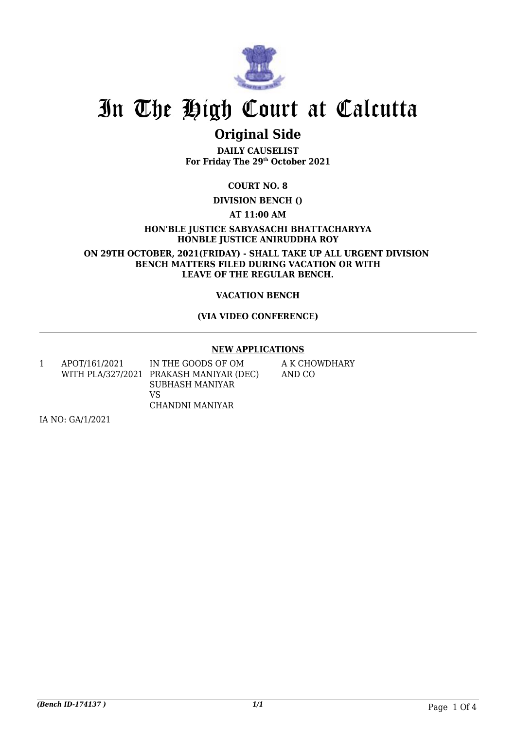

## **Original Side**

**DAILY CAUSELIST For Friday The 29th October 2021**

**COURT NO. 8**

**DIVISION BENCH ()**

**AT 11:00 AM**

**HON'BLE JUSTICE SABYASACHI BHATTACHARYYA HONBLE JUSTICE ANIRUDDHA ROY**

**ON 29TH OCTOBER, 2021(FRIDAY) - SHALL TAKE UP ALL URGENT DIVISION BENCH MATTERS FILED DURING VACATION OR WITH LEAVE OF THE REGULAR BENCH.**

#### **VACATION BENCH**

#### **(VIA VIDEO CONFERENCE)**

#### **NEW APPLICATIONS**

1 APOT/161/2021 WITH PLA/327/2021 PRAKASH MANIYAR (DEC) IN THE GOODS OF OM SUBHASH MANIYAR VS CHANDNI MANIYAR

A K CHOWDHARY AND CO

IA NO: GA/1/2021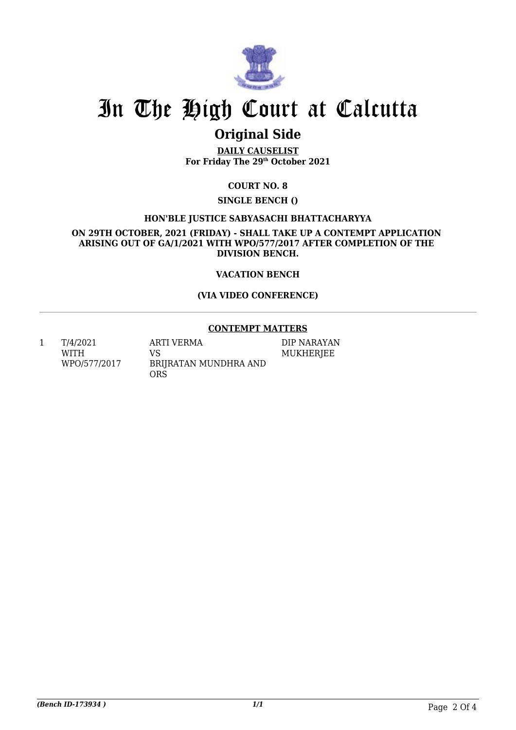

## **Original Side**

**DAILY CAUSELIST For Friday The 29th October 2021**

#### **COURT NO. 8**

#### **SINGLE BENCH ()**

#### **HON'BLE JUSTICE SABYASACHI BHATTACHARYYA**

**ON 29TH OCTOBER, 2021 (FRIDAY) - SHALL TAKE UP A CONTEMPT APPLICATION ARISING OUT OF GA/1/2021 WITH WPO/577/2017 AFTER COMPLETION OF THE DIVISION BENCH.**

#### **VACATION BENCH**

#### **(VIA VIDEO CONFERENCE)**

#### **CONTEMPT MATTERS**

DIP NARAYAN MUKHERJEE

1 T/4/2021 WITH WPO/577/2017 ARTI VERMA VS BRIJRATAN MUNDHRA AND **ORS** 

*(Bench ID-173934 ) 1/1* Page 2 Of 4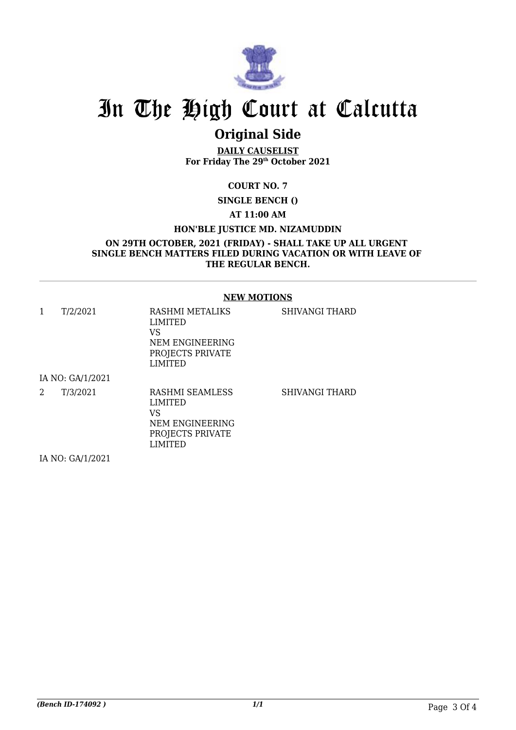

## **Original Side**

**DAILY CAUSELIST For Friday The 29th October 2021**

**COURT NO. 7**

**SINGLE BENCH ()**

**AT 11:00 AM**

#### **HON'BLE JUSTICE MD. NIZAMUDDIN**

**ON 29TH OCTOBER, 2021 (FRIDAY) - SHALL TAKE UP ALL URGENT SINGLE BENCH MATTERS FILED DURING VACATION OR WITH LEAVE OF THE REGULAR BENCH.**

#### **NEW MOTIONS**

| 1 | T/2/2021         | RASHMI METALIKS<br><b>LIMITED</b><br>VS<br>NEM ENGINEERING<br>PROJECTS PRIVATE<br><b>LIMITED</b> | SHIVANGI THARD |
|---|------------------|--------------------------------------------------------------------------------------------------|----------------|
|   | IA NO: GA/1/2021 |                                                                                                  |                |
| 2 | T/3/2021         | RASHMI SEAMLESS<br>LIMITED<br>VS<br>NEM ENGINEERING<br>PROJECTS PRIVATE<br>LIMITED               | SHIVANGI THARD |
|   | IA NO: GA/1/2021 |                                                                                                  |                |

IA NO: GA/1/2021